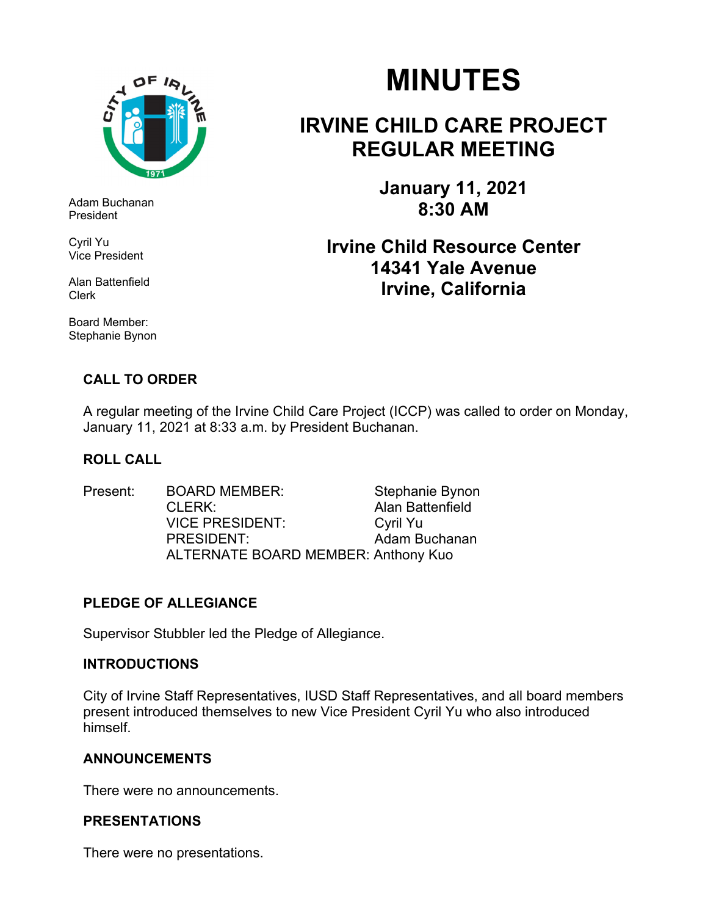

Adam Buchanan President

Cyril Yu Vice President

Alan Battenfield Clerk

Board Member: Stephanie Bynon

# **MINUTES**

## **IRVINE CHILD CARE PROJECT REGULAR MEETING**

**January 11, 2021 8:30 AM** 

### **Irvine Child Resource Center 14341 Yale Avenue Irvine, California**

### **CALL TO ORDER**

A regular meeting of the Irvine Child Care Project (ICCP) was called to order on Monday, January 11, 2021 at 8:33 a.m. by President Buchanan.

#### **ROLL CALL**

Present: BOARD MEMBER: Stephanie Bynon CLERK: Alan Battenfield VICE PRESIDENT:Cyril Yu PRESIDENT: Adam Buchanan ALTERNATE BOARD MEMBER: Anthony Kuo

#### **PLEDGE OF ALLEGIANCE**

Supervisor Stubbler led the Pledge of Allegiance.

#### **INTRODUCTIONS**

City of Irvine Staff Representatives, IUSD Staff Representatives, and all board members present introduced themselves to new Vice President Cyril Yu who also introduced himself.

#### **ANNOUNCEMENTS**

There were no announcements.

#### **PRESENTATIONS**

There were no presentations.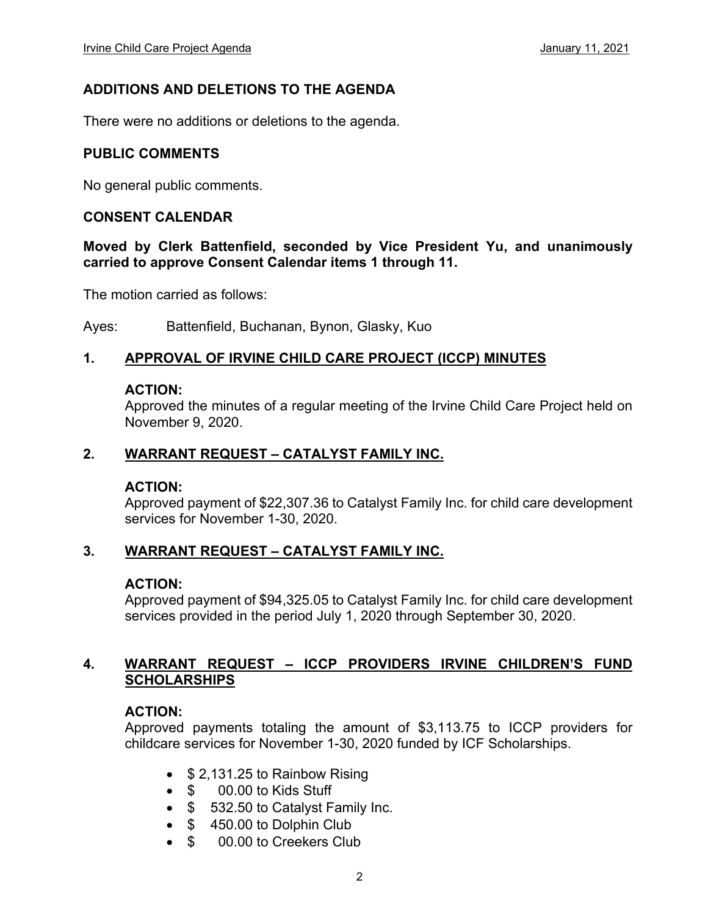#### **ADDITIONS AND DELETIONS TO THE AGENDA**

There were no additions or deletions to the agenda.

#### **PUBLIC COMMENTS**

No general public comments.

#### **CONSENT CALENDAR**

#### **Moved by Clerk Battenfield, seconded by Vice President Yu, and unanimously carried to approve Consent Calendar items 1 through 11.**

The motion carried as follows:

Ayes: Battenfield, Buchanan, Bynon, Glasky, Kuo

#### **1. APPROVAL OF IRVINE CHILD CARE PROJECT (ICCP) MINUTES**

#### **ACTION:**

Approved the minutes of a regular meeting of the Irvine Child Care Project held on November 9, 2020.

#### **2. WARRANT REQUEST – CATALYST FAMILY INC.**

#### **ACTION:**

Approved payment of \$22,307.36 to Catalyst Family Inc. for child care development services for November 1-30, 2020.

#### **3. WARRANT REQUEST – CATALYST FAMILY INC.**

#### **ACTION:**

Approved payment of \$94,325.05 to Catalyst Family Inc. for child care development services provided in the period July 1, 2020 through September 30, 2020.

#### **4. WARRANT REQUEST – ICCP PROVIDERS IRVINE CHILDREN'S FUND SCHOLARSHIPS**

#### **ACTION:**

Approved payments totaling the amount of \$3,113.75 to ICCP providers for childcare services for November 1-30, 2020 funded by ICF Scholarships.

- $\bullet$  \$ 2,131.25 to Rainbow Rising
- \$ 00.00 to Kids Stuff
- \$ 532.50 to Catalyst Family Inc.
- $\bullet$  \$450.00 to Dolphin Club
- \$ 00.00 to Creekers Club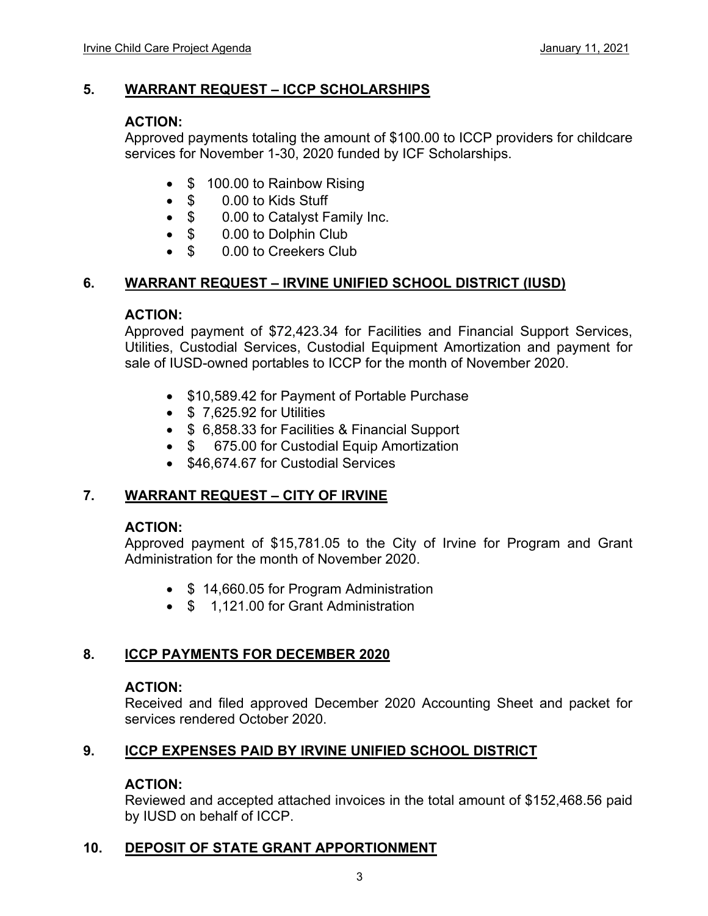#### **5. WARRANT REQUEST – ICCP SCHOLARSHIPS**

#### **ACTION:**

Approved payments totaling the amount of \$100.00 to ICCP providers for childcare services for November 1-30, 2020 funded by ICF Scholarships.

- \$ 100.00 to Rainbow Rising
- \$ 0.00 to Kids Stuff
- \$ 0.00 to Catalyst Family Inc.
- \$ 0.00 to Dolphin Club
- \$ 0.00 to Creekers Club

#### **6. WARRANT REQUEST – IRVINE UNIFIED SCHOOL DISTRICT (IUSD)**

#### **ACTION:**

Approved payment of \$72,423.34 for Facilities and Financial Support Services, Utilities, Custodial Services, Custodial Equipment Amortization and payment for sale of IUSD-owned portables to ICCP for the month of November 2020.

- \$10,589.42 for Payment of Portable Purchase
- $\bullet$  \$ 7,625.92 for Utilities
- \$ 6,858.33 for Facilities & Financial Support
- \$ 675.00 for Custodial Equip Amortization
- \$46,674.67 for Custodial Services

#### **7. WARRANT REQUEST – CITY OF IRVINE**

#### **ACTION:**

Approved payment of \$15,781.05 to the City of Irvine for Program and Grant Administration for the month of November 2020.

- \$14,660.05 for Program Administration
- \$ 1,121,00 for Grant Administration

#### **8. ICCP PAYMENTS FOR DECEMBER 2020**

#### **ACTION:**

Received and filed approved December 2020 Accounting Sheet and packet for services rendered October 2020.

#### **9. ICCP EXPENSES PAID BY IRVINE UNIFIED SCHOOL DISTRICT**

#### **ACTION:**

Reviewed and accepted attached invoices in the total amount of \$152,468.56 paid by IUSD on behalf of ICCP.

#### **10. DEPOSIT OF STATE GRANT APPORTIONMENT**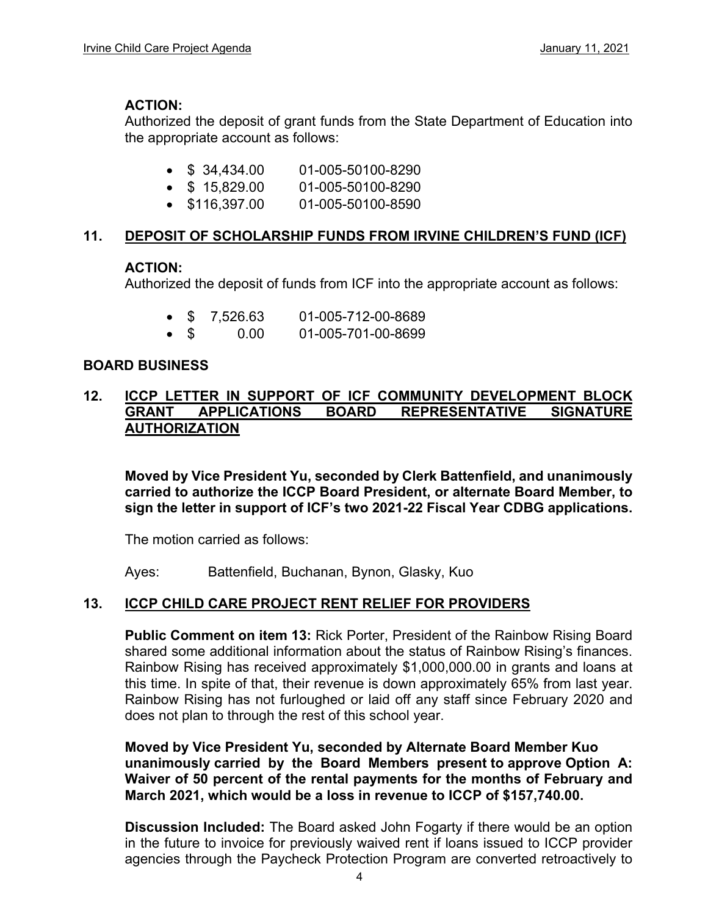#### **ACTION:**

Authorized the deposit of grant funds from the State Department of Education into the appropriate account as follows:

- $\bullet$  \$ 34,434.00 01-005-50100-8290
- $\bullet$  \$ 15,829.00 01-005-50100-8290
- \$116,397.00 01-005-50100-8590

#### **11. DEPOSIT OF SCHOLARSHIP FUNDS FROM IRVINE CHILDREN'S FUND (ICF)**

#### **ACTION:**

Authorized the deposit of funds from ICF into the appropriate account as follows:

- \$ 7,526.63 01-005-712-00-8689
- \$ 0.00 01-005-701-00-8699

#### **BOARD BUSINESS**

#### **12. ICCP LETTER IN SUPPORT OF ICF COMMUNITY DEVELOPMENT BLOCK GRANT APPLICATIONS BOARD REPRESENTATIVE SIGNATURE AUTHORIZATION**

**Moved by Vice President Yu, seconded by Clerk Battenfield, and unanimously carried to authorize the ICCP Board President, or alternate Board Member, to sign the letter in support of ICF's two 2021-22 Fiscal Year CDBG applications.** 

The motion carried as follows:

Ayes: Battenfield, Buchanan, Bynon, Glasky, Kuo

#### **13. ICCP CHILD CARE PROJECT RENT RELIEF FOR PROVIDERS**

**Public Comment on item 13:** Rick Porter, President of the Rainbow Rising Board shared some additional information about the status of Rainbow Rising's finances. Rainbow Rising has received approximately \$1,000,000.00 in grants and loans at this time. In spite of that, their revenue is down approximately 65% from last year. Rainbow Rising has not furloughed or laid off any staff since February 2020 and does not plan to through the rest of this school year.

**Moved by Vice President Yu, seconded by Alternate Board Member Kuo unanimously carried by the Board Members present to approve Option A: Waiver of 50 percent of the rental payments for the months of February and March 2021, which would be a loss in revenue to ICCP of \$157,740.00.** 

**Discussion Included:** The Board asked John Fogarty if there would be an option in the future to invoice for previously waived rent if loans issued to ICCP provider agencies through the Paycheck Protection Program are converted retroactively to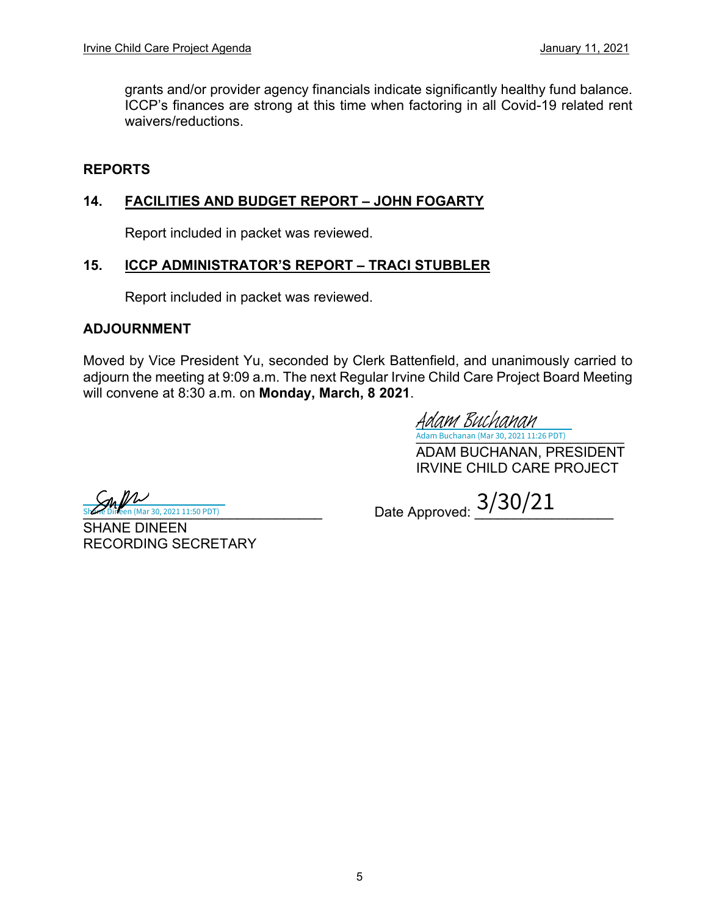grants and/or provider agency financials indicate significantly healthy fund balance. ICCP's finances are strong at this time when factoring in all Covid-19 related rent waivers/reductions.

#### **REPORTS**

#### **14. FACILITIES AND BUDGET REPORT – JOHN FOGARTY**

Report included in packet was reviewed.

#### **15. ICCP ADMINISTRATOR'S REPORT – TRACI STUBBLER**

Report included in packet was reviewed.

#### **ADJOURNMENT**

Moved by Vice President Yu, seconded by Clerk Battenfield, and unanimously carried to adjourn the meeting at 9:09 a.m. The next Regular Irvine Child Care Project Board Meeting will convene at 8:30 a.m. on **Monday, March, 8 2021**.

[\\_\\_\\_\\_\\_\\_\\_\\_\\_\\_\\_\\_\\_\\_\\_\\_\\_\\_\\_\\_\\_\\_\\_\\_\\_\\_\\_](https://na2.documents.adobe.com/verifier?tx=CBJCHBCAABAAL-YnlYn3dufKSDj-FNiGMpCcr6DiAdIk) Adam Buchanan (Mar 30, 2021 11:26 PDT) Adam Buchanan

ADAM BUCHANAN, PRESIDENT IRVINE CHILD CARE PROJECT

**Julie 2014**<br>Dineen (Mar 30, 2021 11:50 PDT)

 $\frac{S_{h}N}{s^{1/2}}$  Date Approved:  $\frac{3/30/21}{s^{1/2}}$ 

SHANE DINEEN RECORDING SECRETARY